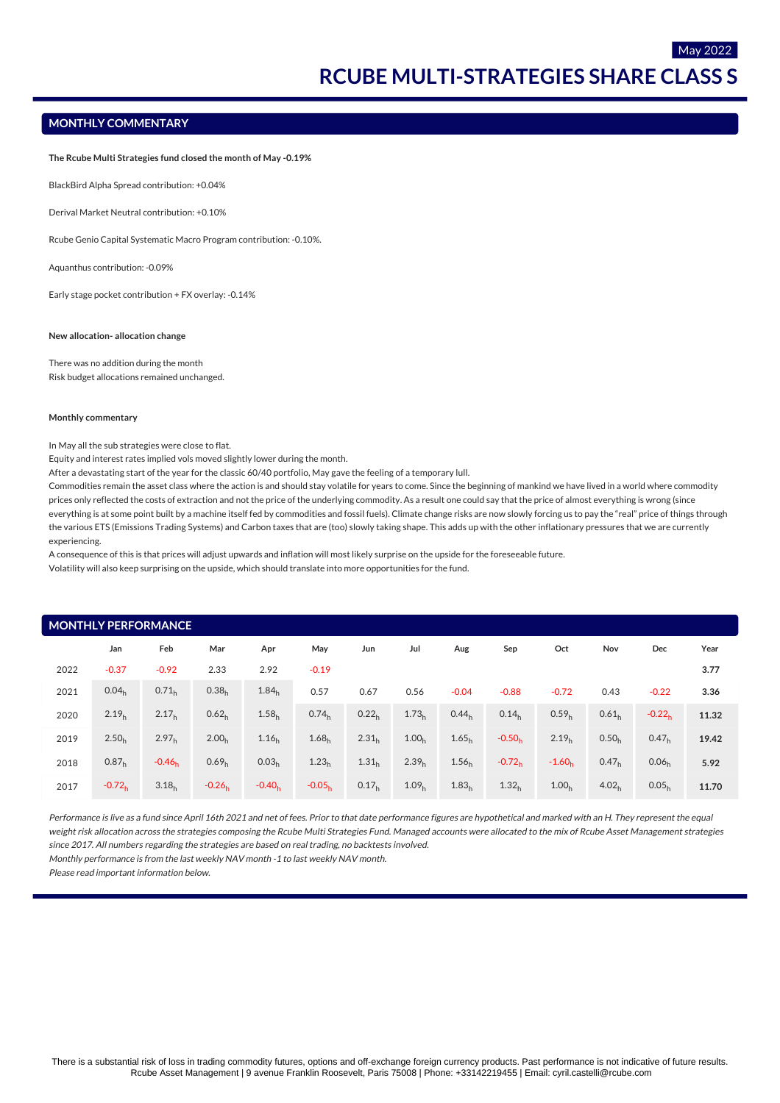May 2022

# **MONTHLY COMMENTARY**

**The Rcube Multi Strategies fund closed the month of May -0.19%**

BlackBird Alpha Spread contribution: +0.04%

Derival Market Neutral contribution: +0.10%

Rcube Genio Capital Systematic Macro Program contribution: -0.10%.

Aquanthus contribution: -0.09%

Early stage pocket contribution + FX overlay: -0.14%

#### **New allocation- allocation change**

There was no addition during the month Risk budget allocations remained unchanged.

#### **Monthly commentary**

In May all the sub strategies were close to flat.

Equity and interest rates implied vols moved slightly lower during the month.

After a devastating start of the year for the classic 60/40 portfolio, May gave the feeling of a temporary lull.

Commodities remain the asset class where the action is and should stay volatile for years to come. Since the beginning of mankind we have lived in a world where commodity prices only reflected the costs of extraction and not the price of the underlying commodity. As a result one could say that the price of almost everything is wrong (since everything is at some point built by a machine itself fed by commodities and fossil fuels). Climate change risks are now slowly forcing us to pay the "real" price of things through the various ETS (Emissions Trading Systems) and Carbon taxes that are (too) slowly taking shape. This adds up with the other inflationary pressures that we are currently experiencing.

A consequence of this is that prices will adjust upwards and inflation will most likely surprise on the upside for the foreseeable future.

Volatility will also keep surprising on the upside, which should translate into more opportunities for the fund.

| <b>MONTHLY PERFORMANCE</b> |                   |                   |                   |                   |                   |                   |                   |                   |                   |                   |                   |                   |       |
|----------------------------|-------------------|-------------------|-------------------|-------------------|-------------------|-------------------|-------------------|-------------------|-------------------|-------------------|-------------------|-------------------|-------|
|                            | Jan               | Feb               | Mar               | Apr               | May               | Jun               | Jul               | Aug               | Sep               | Oct               | Nov               | Dec               | Year  |
| 2022                       | $-0.37$           | $-0.92$           | 2.33              | 2.92              | $-0.19$           |                   |                   |                   |                   |                   |                   |                   | 3.77  |
| 2021                       | 0.04 <sub>h</sub> | 0.71 <sub>h</sub> | 0.38 <sub>h</sub> | 1.84 <sub>h</sub> | 0.57              | 0.67              | 0.56              | $-0.04$           | $-0.88$           | $-0.72$           | 0.43              | $-0.22$           | 3.36  |
| 2020                       | 2.19 <sub>h</sub> | 2.17 <sub>h</sub> | 0.62 <sub>h</sub> | 1.58 <sub>h</sub> | 0.74 <sub>h</sub> | 0.22 <sub>h</sub> | 1.73 <sub>h</sub> | 0.44 <sub>h</sub> | 0.14 <sub>h</sub> | 0.59 <sub>h</sub> | 0.61 <sub>h</sub> | $-0.22h$          | 11.32 |
| 2019                       | 2.50 <sub>h</sub> | 2.97 <sub>h</sub> | 2.00 <sub>h</sub> | 1.16 <sub>h</sub> | 1.68 <sub>h</sub> | 2.31 <sub>h</sub> | 1.00 <sub>h</sub> | 1.65 <sub>h</sub> | $-0.50h$          | 2.19 <sub>h</sub> | 0.50 <sub>h</sub> | 0.47 <sub>h</sub> | 19.42 |
| 2018                       | 0.87 <sub>h</sub> | $-0.46h$          | 0.69 <sub>h</sub> | 0.03 <sub>h</sub> | 1.23 <sub>h</sub> | 1.31 <sub>h</sub> | 2.39 <sub>h</sub> | 1.56 <sub>h</sub> | $-0.72h$          | $-1.60h$          | 0.47 <sub>h</sub> | 0.06 <sub>h</sub> | 5.92  |
| 2017                       | $-0.72h$          | 3.18 <sub>h</sub> | $-0.26h$          | $-0.40h$          | $-0.05h$          | 0.17 <sub>h</sub> | 1.09 <sub>h</sub> | 1.83 <sub>h</sub> | 1.32 <sub>h</sub> | 1.00 <sub>h</sub> | 4.02 <sub>h</sub> | 0.05 <sub>h</sub> | 11.70 |

Performance is live as a fund since April 16th 2021 and net of fees. Prior to that date performance figures are hypothetical and marked with an H. They represent the equal weight risk allocation across the strategies composing the Rcube Multi Strategies Fund. Managed accounts were allocated to the mix of Rcube Asset Management strategies since 2017. All numbers regarding the strategies are based on real trading, no backtests involved.

Monthly performance is from the last weekly NAV month -1 to last weekly NAV month.

Please read important information below.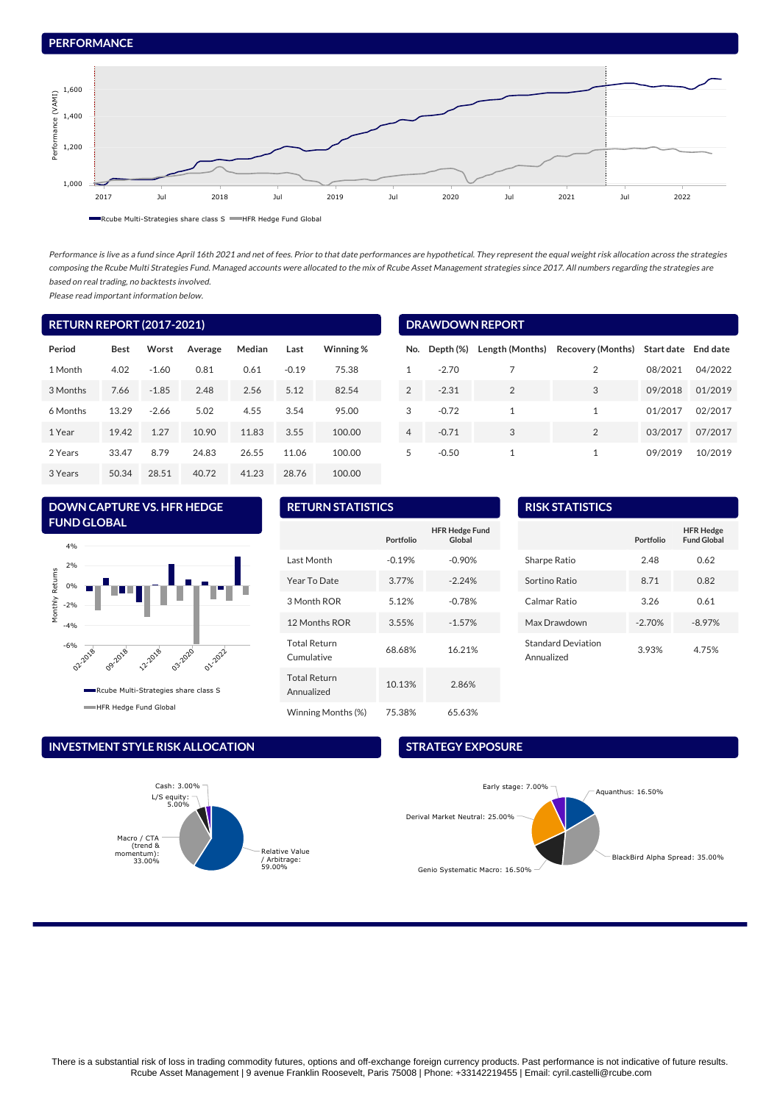# **PERFORMANCE**



Rcube Multi-Strategies share class S HFR Hedge Fund Global

Performance is live as a fund since April 16th 2021 and net of fees. Prior to that date performances are hypothetical. They represent the equal weight risk allocation across the strategies composing the Rcube Multi Strategies Fund. Managed accounts were allocated to the mix of Rcube Asset Management strategies since 2017. All numbers regarding the strategies are based on real trading, no backtests involved.

Please read important information below.

| <b>RETURN REPORT (2017-2021)</b> |             |         |         |        |         |           |
|----------------------------------|-------------|---------|---------|--------|---------|-----------|
| Period                           | <b>Best</b> | Worst   | Average | Median | Last    | Winning % |
| 1 Month                          | 4.02        | $-1.60$ | 0.81    | 0.61   | $-0.19$ | 75.38     |
| 3 Months                         | 7.66        | $-1.85$ | 2.48    | 2.56   | 5.12    | 82.54     |
| 6 Months                         | 13.29       | $-2.66$ | 5.02    | 4.55   | 3.54    | 95.00     |
| 1 Year                           | 19.42       | 1.27    | 10.90   | 11.83  | 3.55    | 100.00    |
| 2 Years                          | 33.47       | 8.79    | 24.83   | 26.55  | 11.06   | 100.00    |
| 3 Years                          | 50.34       | 28.51   | 40.72   | 41.23  | 28.76   | 100.00    |

# **DRAWDOWN REPORT**

| No.           | Depth (%) |               | Length (Months) Recovery (Months) Start date End date |         |         |
|---------------|-----------|---------------|-------------------------------------------------------|---------|---------|
| 1             | $-2.70$   | 7             | 2                                                     | 08/2021 | 04/2022 |
| $\mathcal{P}$ | $-2.31$   | $\mathcal{P}$ | 3                                                     | 09/2018 | 01/2019 |
| 3             | $-0.72$   | 1             | 1                                                     | 01/2017 | 02/2017 |
| 4             | $-0.71$   | 3             | $\mathcal{P}$                                         | 03/2017 | 07/2017 |
| 5             | $-0.50$   | 1             | 1                                                     | 09/2019 | 10/2019 |

# **DOWN CAPTURE VS. HFR HEDGE FUND GLOBAL**



## **INVESTMENT STYLE RISK ALLOCATION**



# **RETURN STATISTICS**

|                                   | Portfolio | <b>HFR Hedge Fund</b><br>Global |
|-----------------------------------|-----------|---------------------------------|
| Last Month                        | $-0.19%$  | $-0.90%$                        |
| Year To Date                      | 3.77%     | $-2.24%$                        |
| 3 Month ROR                       | 5.12%     | $-0.78%$                        |
| 12 Months ROR                     | 3.55%     | $-1.57%$                        |
| <b>Total Return</b><br>Cumulative | 68.68%    | 16.21%                          |
| <b>Total Return</b><br>Annualized | 10.13%    | 2.86%                           |
| Winning Months (%)                | 75.38%    | 65.63%                          |

| <b>RISK STATISTICS</b>                  |           |                                        |  |  |
|-----------------------------------------|-----------|----------------------------------------|--|--|
|                                         | Portfolio | <b>HFR Hedge</b><br><b>Fund Global</b> |  |  |
| Sharpe Ratio                            | 2.48      | 0.62                                   |  |  |
| Sortino Ratio                           | 8.71      | 0.82                                   |  |  |
| Calmar Ratio                            | 3.26      | 0.61                                   |  |  |
| Max Drawdown                            | $-2.70%$  | $-8.97%$                               |  |  |
| <b>Standard Deviation</b><br>Annualized | 3.93%     | 4.75%                                  |  |  |

## **STRATEGY EXPOSURE**

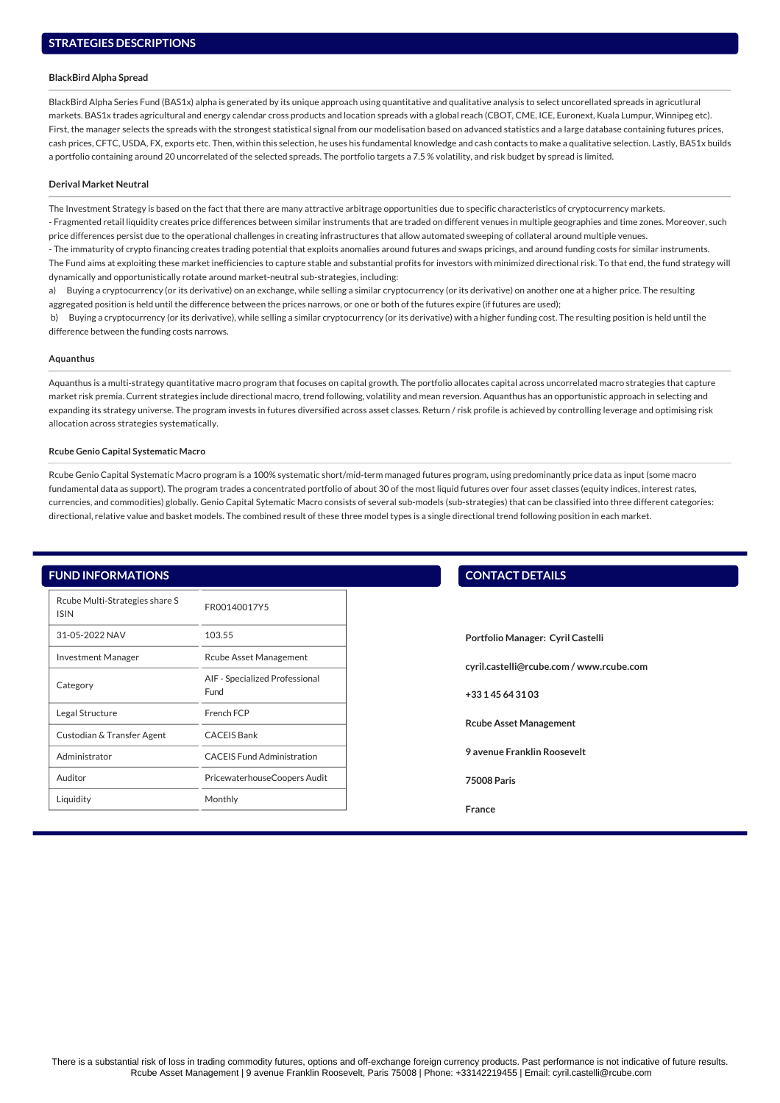## **BlackBird Alpha Spread**

BlackBird Alpha Series Fund (BAS1x) alpha is generated by its unique approach using quantitative and qualitative analysis to select uncorellated spreads in agricutlural markets. BAS1x trades agricultural and energy calendar cross products and location spreads with a global reach (CBOT, CME, ICE, Euronext, Kuala Lumpur, Winnipeg etc). First, the manager selects the spreads with the strongest statistical signal from our modelisation based on advanced statistics and a large database containing futures prices, cash prices, CFTC, USDA, FX, exports etc. Then, within this selection, he uses his fundamental knowledge and cash contacts to make a qualitative selection. Lastly, BAS1x builds a portfolio containing around 20 uncorrelated of the selected spreads. The portfolio targets a 7.5 % volatility, and risk budget by spread is limited.

#### **Derival Market Neutral**

The Investment Strategy is based on the fact that there are many attractive arbitrage opportunities due to specific characteristics of cryptocurrency markets.

- Fragmented retail liquidity creates price differences between similar instruments that are traded on different venues in multiple geographies and time zones. Moreover, such price differences persist due to the operational challenges in creating infrastructures that allow automated sweeping of collateral around multiple venues.

- The immaturity of crypto financing creates trading potential that exploits anomalies around futures and swaps pricings, and around funding costs for similar instruments. The Fund aims at exploiting these market inefficiencies to capture stable and substantial profits for investors with minimized directional risk. To that end, the fund strategy will dynamically and opportunistically rotate around market-neutral sub-strategies, including:

a) Buying a cryptocurrency (or its derivative) on an exchange, while selling a similar cryptocurrency (or its derivative) on another one at a higher price. The resulting aggregated position is held until the difference between the prices narrows, or one or both of the futures expire (if futures are used);

 b) Buying a cryptocurrency (or its derivative), while selling a similar cryptocurrency (or its derivative) with a higher funding cost. The resulting position is held until the difference between the funding costs narrows.

#### **Aquanthus**

Aquanthus is a multi-strategy quantitative macro program that focuses on capital growth. The portfolio allocates capital across uncorrelated macro strategies that capture market risk premia. Current strategies include directional macro, trend following, volatility and mean reversion. Aquanthus has an opportunistic approach in selecting and expanding its strategy universe. The program invests in futures diversified across asset classes. Return / risk profile is achieved by controlling leverage and optimising risk allocation across strategies systematically.

#### **Rcube Genio Capital Systematic Macro**

Rcube Genio Capital Systematic Macro program is a 100% systematic short/mid-term managed futures program, using predominantly price data as input (some macro fundamental data as support). The program trades a concentrated portfolio of about 30 of the most liquid futures over four asset classes (equity indices, interest rates, currencies, and commodities) globally. Genio Capital Sytematic Macro consists of several sub-models (sub-strategies) that can be classified into three different categories: directional, relative value and basket models. The combined result of these three model types is a single directional trend following position in each market.

## **FUND INFORMATIONS**

| Rcube Multi-Strategies share S<br><b>ISIN</b> | FR00140017Y5                           |  |  |
|-----------------------------------------------|----------------------------------------|--|--|
| 31-05-2022 NAV                                | 103.55                                 |  |  |
| <b>Investment Manager</b>                     | <b>Rcube Asset Management</b>          |  |  |
| Category                                      | AIF - Specialized Professional<br>Fund |  |  |
| Legal Structure                               | French FCP                             |  |  |
| Custodian & Transfer Agent                    | <b>CACEIS Bank</b>                     |  |  |
| Administrator                                 | <b>CACEIS Fund Administration</b>      |  |  |
| Auditor                                       | PricewaterhouseCoopers Audit           |  |  |
| Liquidity                                     | Monthly                                |  |  |

## **CONTACT DETAILS**

**Portfolio Manager: Cyril Castelli**

**cyril.castelli@rcube.com / [www.rcube.com](http://www.rcube.com)**

**+33 1 45 64 31 03**

**Rcube Asset Management**

**9 avenue Franklin Roosevelt**

**75008 Paris**

**France**